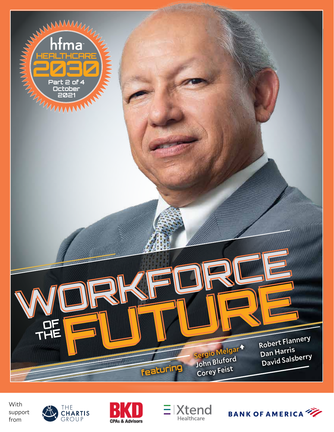

With support from







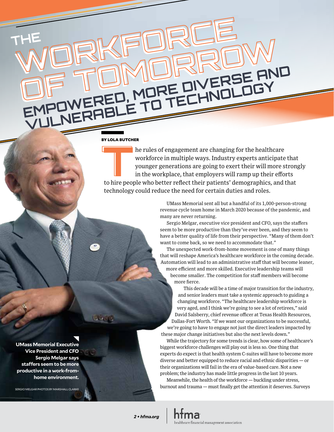#### BY LOLA BUTCHER

WORKFORCE

WORKFORCE

WORKFUNDROW<br>OF TOMORREAND<br>EMPOWERED, MORE DIVERSE AND

WORKFUNGROW

**ULNERABLE TO TECHNOLOGY** 

**T**he rules of engagement are changing for the healthcare workforce in multiple ways. Industry experts anticipate that younger generations are going to exert their will more strongly in the workplace, that employers will ramp up their efforts The rules of engagement are changing for the healthcare<br>
workforce in multiple ways. Industry experts anticipate that<br>
younger generations are going to exert their will more stron<br>
in the workplace, that employers will ram technology could reduce the need for certain duties and roles.

> UMass Memorial sent all but a handful of its 1,000-person-strong revenue cycle team home in March 2020 because of the pandemic, and many are never returning.

Sergio Melgar, executive vice president and CFO, says the staffers seem to be more productive than they've ever been, and they seem to have a better quality of life from their perspective. "Many of them don't want to come back, so we need to accommodate that."

The unexpected work-from-home movement is one of many things that will reshape America's healthcare workforce in the coming decade. Automation will lead to an administrative staff that will become leaner, more efficient and more skilled. Executive leadership teams will become smaller. The competition for staff members will become more fierce.

This decade will be a time of major transition for the industry, and senior leaders must take a systemic approach to guiding a changing workforce. "The healthcare leadership workforce is very aged, and I think we're going to see a lot of retirees," said David Salsberry, chief revenue officer at Texas Health Resources, Dallas-Fort Worth. "If we want our organizations to be successful, we're going to have to engage not just the direct leaders impacted by these major change initiatives but also the next levels down."

While the trajectory for some trends is clear, how some of healthcare's biggest workforce challenges will play out is less so. One thing that experts do expect is that health system C-suites will have to become more diverse and better equipped to reduce racial and ethnic disparities — or their organizations will fail in the era of value-based care. Not a new problem; the industry has made little progress in the last 10 years.

Meanwhile, the health of the workforce — buckling under stress, burnout and trauma — must finally get the attention it deserves. Surveys

**UMass Memorial Executive Vice President and CFO Sergio Melgar says staffers seem to be more productive in a work-fromhome environment.**

**THE**

SERGIO MELGAR PHOTOS BY MARSHALL CLARKE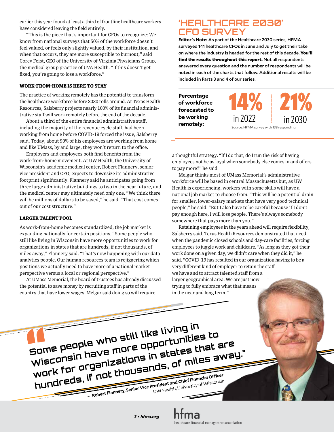earlier this year found at least a third of frontline healthcare workers have considered leaving the field entirely.

"This is the piece that's important for CFOs to recognize: We know from national surveys that 50% of the workforce doesn't feel valued, or feels only slightly valued, by their institution, and when that occurs, they are more susceptible to burnout," said Corey Feist, CEO of the University of Virginia Physicians Group, the medical group practice of UVA Health. "If this doesn't get fixed, you're going to lose a workforce."

#### **WORK-FROM-HOME IS HERE TO STAY**

The practice of working remotely has the potential to transform the healthcare workforce before 2030 rolls around. At Texas Health Resources, Salsberry projects nearly 100% of its financial administrative staff will work remotely before the end of the decade.

About a third of the entire financial administrative staff, including the majority of the revenue cycle staff, had been working from home before COVID-19 forced the issue, Salsberry said. Today, about 90% of his employees are working from home and like UMass, by and large, they won't return to the office.

Employers and employees both find benefits from the work-from-home movement. At UW Health, the University of Wisconsin's academic medical center, Robert Flannery, senior vice president and CFO, expects to downsize its administrative footprint significantly. Flannery said he anticipates going from three large administrative buildings to two in the near future, and the medical center may ultimately need only one. "We think there will be millions of dollars to be saved," he said. "That cost comes out of our cost structure."

#### **LARGER TALENT POOL**

As work-from-home becomes standardized, the job market is expanding nationally for certain positions. "Some people who still like living in Wisconsin have more opportunities to work for organizations in states that are hundreds, if not thousands, of miles away," Flannery said. "That's now happening with our data analytics people. Our human resources team is rejiggering which positions we actually need to have more of a national market perspective versus a local or regional perspective."

At UMass Memorial, the board of trustees has already discussed the potential to save money by recruiting staff in parts of the country that have lower wages. Melgar said doing so will require

## **'HEALTHCARE 2030' CFO SURVEY**

**Editor's Note:** As part of the Healthcare 2030 series, HFMA surveyed 141 healthcare CFOs in June and July to get their take on where the industry is headed for the rest of this decade. You'll find the results throughout this report. Not all respondents answered every question and the number of respondents will be noted in each of the charts that follow. Additional results will be included in Parts 3 and 4 of our series.

**Percentage of workforce forecasted to be working** 



a thoughtful strategy. "If I do that, do I run the risk of having employees not be as loyal when somebody else comes in and offers to pay more?" he said.

Melgar thinks most of UMass Memorial's administrative workforce will be based in central Massachusetts but, as UW Health is experiencing, workers with some skills will have a national job market to choose from. "This will be a potential drain for smaller, lower-salary markets that have very good technical people," he said. "But I also have to be careful because if I don't pay enough here, I will lose people. There's always somebody somewhere that pays more than you."

Retaining employees in the years ahead will require flexibility, Salsberry said. Texas Health Resources demonstrated that need when the pandemic closed schools and day-care facilities, forcing employees to juggle work and childcare. "As long as they got their work done on a given day, we didn't care when they did it," he said. "COVID-19 has resulted in our organization having to be a very different kind of employer to retain the staff we have and to attract talented staff from a larger geographical area. We are just now trying to fully embrace what that means in the near and long term."

**The people who still like living in**<br>Some people who still like living in **Bome people who still like in the fight**<br>Some people who still like in the states that a<br>Wisconsin have more in states that a<br>ly for organizations in states all work for organizations in states that are<br>hundreds, if not thousands, of miles awal **hundreds, if not thousands, of miles away." F NOL LITE:**<br>— Robert Flannery, Senior Vice President and Chief Financial Officer<br>— Robert Flannery, Senior Vice President and Chief Financial Officer

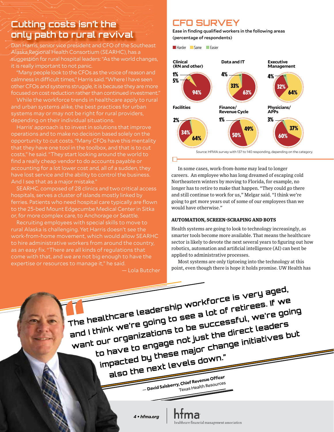# **Cutting costs isn't the only path to rural revival**

Dan Harris, senior vice president and CFO of the Southeast Alaska Regional Health Consortium (SEARHC), has a suggestion for rural hospital leaders: "As the world changes, it is really important to not panic.

"Many people look to the CFOs as the voice of reason and calmness in difficult times," Harris said. "Where I have seen other CFOs and systems struggle, it is because they are more focused on cost reduction rather than continued investment."

While the workforce trends in healthcare apply to rural and urban systems alike, the best practices for urban systems may or may not be right for rural providers, depending on their individual situations.

Harris' approach is to invest in solutions that improve operations and to make no decision based solely on the opportunity to cut costs. "Many CFOs have this mentality that they have one tool in the toolbox, and that is to cut costs," he said. "They start looking around the world to find a really cheap vendor to do accounts payable or accounting for a lot lower cost and, all of a sudden, they have lost service and the ability to control the business. And I see that as a major mistake."

SEARHC, composed of 28 clinics and two critical access hospitals, serves a cluster of islands mostly linked by ferries. Patients who need hospital care typically are flown to the 25-bed Mount Edgecumbe Medical Center in Sitka or, for more complex care, to Anchorage or Seattle.

Recruiting employees with special skills to move to rural Alaska is challenging. Yet Harris doesn't see the work-from-home movement, which would allow SEARHC to hire administrative workers from around the country, as an easy fix. "There are all kinds of regulations that come with that, and we are not big enough to have the expertise or resources to manage it," he said.

— Lola Butcher

## **CFO SURVEY**

Ease in finding qualified workers in the following areas (percentage of respondents)

**Harder** Same Easier



In some cases, work-from-home may lead to longer careers. An employee who has long dreamed of escaping cold Northeastern winters by moving to Florida, for example, no longer has to retire to make that happen. "They could go there and still continue to work for us," Melgar said. "I think we're going to get more years out of some of our employees than we would have otherwise."

#### **AUTOMATION, SCREEN-SCRAPING AND BOTS**

Health systems are going to look to technology increasingly, as smarter tools become more available. That means the healthcare sector is likely to devote the next several years to figuring out how robotics, automation and artificial intelligence (AI) can best be applied to administrative processes.

Most systems are only tiptoeing into the technology at this point, even though there is hope it holds promise. UW Health has



healthcare financial management association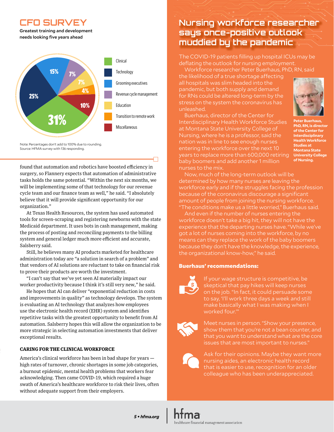## **CFO SURVEY**

Greatest training and development needs looking five years ahead



#### Note: Percentages don't add to 100% due to rounding. Source: HFMA survey with 136 responding.

found that automation and robotics have boosted efficiency in surgery, so Flannery expects that automation of administrative tasks holds the same potential. "Within the next six months, we will be implementing some of that technology for our revenue cycle team and our finance team as well," he said. "I absolutely believe that it will provide significant opportunity for our organization."

At Texas Health Resources, the system has used automated tools for screen-scraping and registering newborns with the state Medicaid department. It uses bots in cash management, making the process of posting and reconciling payments to the billing system and general ledger much more efficient and accurate, Salsberry said.

Still, he believes many AI products marketed for healthcare administration today are "a solution in search of a problem" and that vendors of AI solutions are reluctant to take on financial risk to prove their products are worth the investment.

"I can't say that we've yet seen AI materially impact our worker productivity because I think it's still very new," he said.

He hopes that AI can deliver "exponential reduction in costs and improvements in quality" as technology develops. The system is evaluating an AI technology that analyzes how employees use the electronic health record (EHR) system and identifies repetitive tasks with the greatest opportunity to benefit from AI automation. Salsberry hopes this will allow the organization to be more strategic in selecting automation investments that deliver exceptional results.

## **CARING FOR THE CLINICAL WORKFORCE**

America's clinical workforce has been in bad shape for years high rates of turnover, chronic shortages in some job categories, a burnout epidemic, mental health problems that workers fear acknowledging. Then came COVID-19, which required a huge swath of America's healthcare workforce to risk their lives, often without adequate support from their employers.

## **Nursing workforce researcher says once-positive outlook muddied by the pandemic**

The COVID-19 patients filling up hospital ICUs may be deflating the outlook for nursing employment.

Workforce researcher Peter Buerhaus, PhD, RN, said

the likelihood of a true shortage affecting all hospitals was slim headed into the pandemic, but both supply and demand for RNs could be altered long-term by the stress on the system the coronavirus has unleashed.



Buerhaus, director of the Center for Interdisciplinary Health Workforce Studies at Montana State University College of Nursing, where he is a professor, said the nation was in line to see enough nurses entering the workforce over the next 10 years to replace more than 600,000 retiring baby boomers and add another 1 million nurses to the mix.

**Peter Buerhaus, PhD, RN, is director of the Center for Interdisciplinary Health Workforce Studies at Montana State University College of Nursing.**

Now, much of the long-term outlook will be determined by how many nurses are leaving the workforce early and if the struggles facing the profession because of the coronavirus discourage a significant amount of people from joining the nursing workforce. "The conditions make us a little worried," Buerhaus said.

And even if the number of nurses entering the workforce doesn't take a big hit, they will not have the experience that the departing nurses have. "While we've got a lot of nurses coming into the workforce, by no means can they replace the work of the baby boomers because they don't have the knowledge, the experience, the organizational know-how," he said.

## Buerhaus' recommendations:



If your wage structure is competitive, be skeptical that pay hikes will keep nurses on the job. "In fact, it could persuade some to say, 'I'll work three days a week and still make basically what I was making when I worked four.'"



Meet nurses in person. "Show your presence, show them that you're not a bean counter, and that you want to understand what are the core issues that are most important to nurses."



Ask for their opinions. Maybe they want more nursing aides, an electronic health record that is easier to use, recognition for an older colleague who has been underappreciated.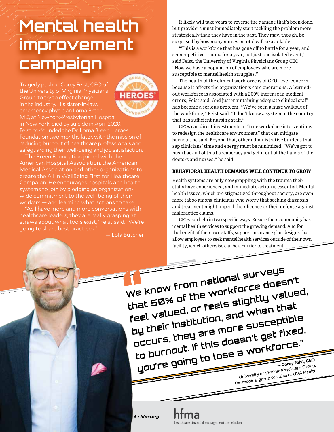# **Mental health improvement campaign**

Tragedy pushed Corey Feist, CEO of the University of Virginia Physicians **HEROE!** Group, to try to effect change in the industry. His sister-in-law, emergency physician Lorna Breen, MD, at NewYork-Presbyterian Hospital in New York, died by suicide in April 2020. Feist co-founded the Dr. Lorna Breen Heroes' Foundation two months later, with the mission of reducing burnout of healthcare professionals and safeguarding their well-being and job satisfaction.

The Breen Foundation joined with the American Hospital Association, the American Medical Association and other organizations to create the All in WellBeing First for Healthcare Campaign. He encourages hospitals and health systems to join by pledging an organizationwide commitment to the well-being of their workers — and learning what actions to take.

"As I have more and more conversations with healthcare leaders, they are really grasping at straws about what tools exist," Feist said. "We're going to share best practices."

— Lola Butcher

It likely will take years to reverse the damage that's been done, but providers must immediately start tackling the problem more strategically than they have in the past. They may, though, be surprised by how many nurses in total will be available.

"This is a workforce that has gone off to battle for a year, and seen repetitive trauma for a year, not just one isolated event," said Feist, the University of Virginia Physicians Group CEO. "Now we have a population of employees who are more susceptible to mental health struggles."

The health of the clinical workforce is of CFO-level concern because it affects the organization's core operations. A burnedout workforce is associated with a 200% increase in medical errors, Feist said. And just maintaining adequate clinical staff has become a serious problem. "We've seen a huge walkout of the workforce," Feist said. "I don't know a system in the country that has sufficient nursing staff."

CFOs can direct investments in "true workplace interventions to redesign the healthcare environment" that can mitigate burnout, he said. Beyond that, other administrative burdens that sap clinicians' time and energy must be minimized. "We've got to push back all of this bureaucracy and get it out of the hands of the doctors and nurses," he said.

### **BEHAVIORAL HEALTH DEMANDS WILL CONTINUE TO GROW**

Health systems are only now grappling with the trauma their staffs have experienced, and immediate action is essential. Mental health issues, which are stigmatized throughout society, are even more taboo among clinicians who worry that seeking diagnosis and treatment might imperil their license or their defense against malpractice claims.

CFOs can help in two specific ways: Ensure their community has mental health services to support the growing demand. And for the benefit of their own staffs, support insurance plan designs that allow employees to seek mental health services outside of their own facility, which otherwise can be a barrier to treatment.

**"We know from national surveys**  We know from national sof<br>that 50% of the workforce doesn't<br>that 50% of the workforce doesn't **feel valued, or feels slightly valued, by their institution, and when that occurs, they are more susceptible to burnout. If this doesn't get fixed, you're going to lose a workforce."** — **Corey Feist, CEO**  University of Virginia Physicians Group, the medical group practice of UVA Health

*6 • hfma.org*

ealthcare financial management association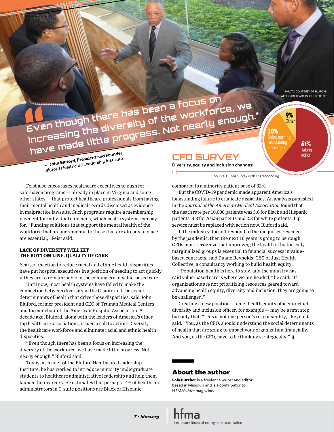PHOTO COURTESY OF BLUFORD HEALTHCARE LEADERSHIP INSTITUTE

> 9% **Other**

> > 61% **Taking** action

30% Doing nothing; maintaining status quo

Even though there has been a focus on **E**ven though there has been a focus on<br>Even though there has been a focus on **increasing the diversity of the workforce, we**<br>increasing the diversity of the workforce, we<br>increasing the diversity of the workforce, we Fiven though there nas For the Working."<br>Increasing the diversity of the Working."<br>have made little progress. Not nearly enough."

— **John Bluford, President and Founder**  Bluford Healthcare Leadership Institute

## Feist also encourages healthcare executives to push for safe-haven programs — already in place in Virginia and some other states — that protect healthcare professionals from having their mental health and medical records disclosed as evidence in malpractice lawsuits. Such programs require a membership payment for individual clinicians, which health systems can pay for. "Funding solutions that support the mental health of the workforce that are incremental to those that are already in place are essential," Feist said.

#### **LACK OF DIVERSITY WILL HIT THE BOTTOM LINE, QUALITY OF CARE**

Years of inaction to reduce racial and ethnic health disparities have put hospital executives in a position of needing to act quickly if they are to remain viable in the coming era of value-based care.

Until now, most health systems have failed to make the connection between diversity in the C-suite and the social determinants of health that drive those disparities, said John Bluford, former president and CEO of Truman Medical Centers and former chair of the American Hospital Association. A decade ago, Bluford, along with the leaders of America's other top healthcare associations, issued a call to action: Diversify the healthcare workforce and eliminate racial and ethnic health disparities.

"Even though there has been a focus on increasing the diversity of the workforce, we have made little progress. Not nearly enough," Bluford said.

Today, as leader of the Bluford Healthcare Leadership Institute, he has worked to introduce minority undergraduate students to healthcare administrative leadership and help them launch their careers. He estimates that perhaps 14% of healthcare administrators in C-suite positions are Black or Hispanic,

## **CFO SURVEY**

Diversity, equity and inclusion changes:

Source: HFMA survey with 123 responding.

compared to a minority patient base of 32%.

But the COVID-19 pandemic made apparent America's longstanding failure to eradicate disparities. An analysis published in the *Journal of the American Medical Association* found that the death rate per 10,000 patients was 5.6 for Black and Hispanic patients, 4.3 for Asian patients and 2.3 for white patients. Lip service must be replaced with action now, Bluford said.

If the industry doesn't respond to the inequities revealed by the pandemic, then the next 10 years is going to be rough. CFOs must recognize that improving the health of historically marginalized groups is essential to financial success in valuebased contracts, said Duane Reynolds, CEO of Just Health Collective, a consultancy working to build health equity.

"Population health is here to stay, and the industry has said value-based care is where we are headed," he said. "If organizations are not prioritizing resources geared toward advancing health equity, diversity and inclusion, they are going to be challenged."

Creating a new position — chief health equity officer or chief diversity and inclusion officer, for example — may be a first step, but only that. "This is not one person's responsibility," Reynolds said. "You, as the CFO, should understand the social determinants of health that are going to impact your organization financially. And you, as the CFO, have to be thinking strategically."

## About the author

Lola Butcher is a freelance writer and editor based in Missouri and is a contributor to HFMA's *hfm* magazine*.*